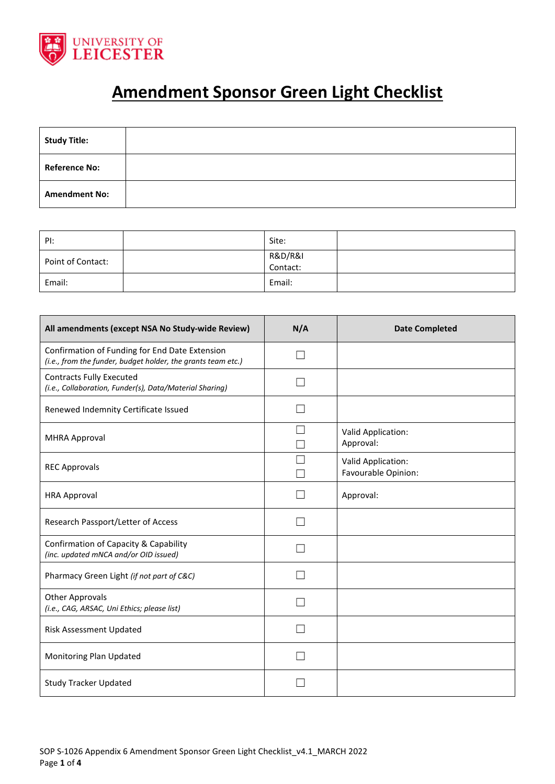

## **Amendment Sponsor Green Light Checklist**

| <b>Study Title:</b>  |  |
|----------------------|--|
| <b>Reference No:</b> |  |
| <b>Amendment No:</b> |  |

| PI:               | Site:               |  |
|-------------------|---------------------|--|
| Point of Contact: | R&D/R&I<br>Contact: |  |
| Email:            | Email:              |  |

| All amendments (except NSA No Study-wide Review)                                                               | N/A | <b>Date Completed</b>                     |
|----------------------------------------------------------------------------------------------------------------|-----|-------------------------------------------|
| Confirmation of Funding for End Date Extension<br>(i.e., from the funder, budget holder, the grants team etc.) |     |                                           |
| <b>Contracts Fully Executed</b><br>(i.e., Collaboration, Funder(s), Data/Material Sharing)                     |     |                                           |
| Renewed Indemnity Certificate Issued                                                                           |     |                                           |
| <b>MHRA Approval</b>                                                                                           |     | Valid Application:<br>Approval:           |
| <b>REC Approvals</b>                                                                                           |     | Valid Application:<br>Favourable Opinion: |
| <b>HRA Approval</b>                                                                                            |     | Approval:                                 |
| Research Passport/Letter of Access                                                                             |     |                                           |
| Confirmation of Capacity & Capability<br>(inc. updated mNCA and/or OID issued)                                 |     |                                           |
| Pharmacy Green Light (if not part of C&C)                                                                      |     |                                           |
| <b>Other Approvals</b><br>(i.e., CAG, ARSAC, Uni Ethics; please list)                                          |     |                                           |
| Risk Assessment Updated                                                                                        |     |                                           |
| Monitoring Plan Updated                                                                                        |     |                                           |
| <b>Study Tracker Updated</b>                                                                                   |     |                                           |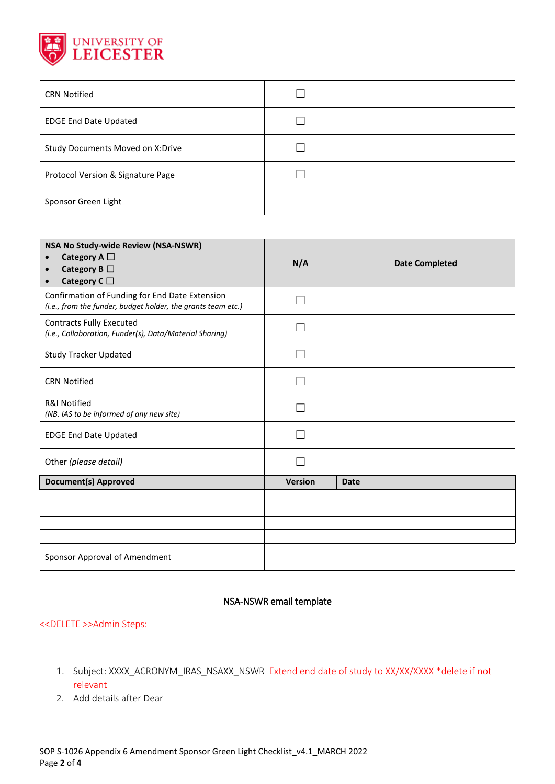

| <b>CRN Notified</b>               |  |
|-----------------------------------|--|
| <b>EDGE End Date Updated</b>      |  |
| Study Documents Moved on X:Drive  |  |
| Protocol Version & Signature Page |  |
| Sponsor Green Light               |  |

| NSA No Study-wide Review (NSA-NSWR)<br>Category A $\Box$<br>Category B $\Box$<br>$\bullet$<br>Category C $\square$ | N/A            | <b>Date Completed</b> |
|--------------------------------------------------------------------------------------------------------------------|----------------|-----------------------|
| Confirmation of Funding for End Date Extension<br>(i.e., from the funder, budget holder, the grants team etc.)     |                |                       |
| <b>Contracts Fully Executed</b><br>(i.e., Collaboration, Funder(s), Data/Material Sharing)                         |                |                       |
| <b>Study Tracker Updated</b>                                                                                       |                |                       |
| <b>CRN Notified</b>                                                                                                |                |                       |
| <b>R&amp;I Notified</b><br>(NB. IAS to be informed of any new site)                                                |                |                       |
| <b>EDGE End Date Updated</b>                                                                                       |                |                       |
| Other (please detail)                                                                                              |                |                       |
| <b>Document(s) Approved</b>                                                                                        | <b>Version</b> | <b>Date</b>           |
|                                                                                                                    |                |                       |
|                                                                                                                    |                |                       |
|                                                                                                                    |                |                       |
|                                                                                                                    |                |                       |
| Sponsor Approval of Amendment                                                                                      |                |                       |

## NSA-NSWR email template

## <<DELETE >>Admin Steps:

- 1. Subject: XXXX\_ACRONYM\_IRAS\_NSAXX\_NSWR Extend end date of study to XX/XX/XXXX \*delete if not relevant
- 2. Add details after Dear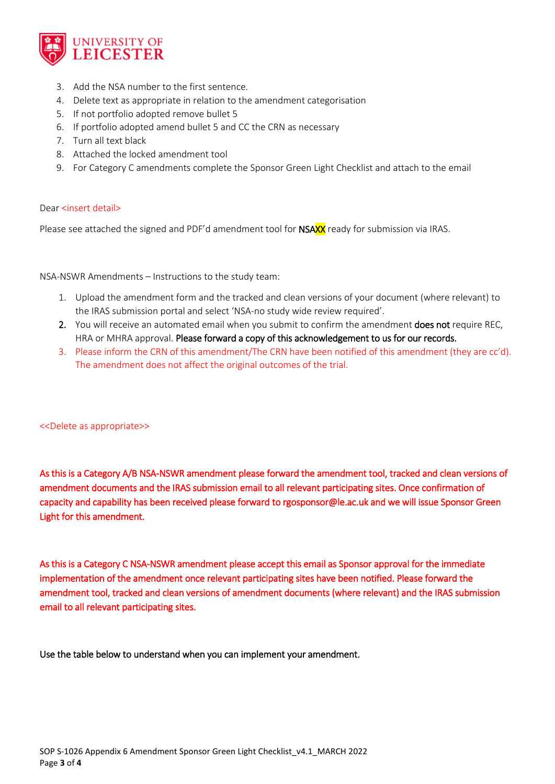

- 3. Add the NSA number to the first sentence.
- 4. Delete text as appropriate in relation to the amendment categorisation
- 5. If not portfolio adopted remove bullet 5
- 6. If portfolio adopted amend bullet 5 and CC the CRN as necessary
- 7. Turn all text black
- 8. Attached the locked amendment tool
- 9. For Category C amendments complete the Sponsor Green Light Checklist and attach to the email

## Dear <insert detail>

Please see attached the signed and PDF'd amendment tool for NSAXX ready for submission via IRAS.

NSA-NSWR Amendments – Instructions to the study team:

- 1. Upload the amendment form and the tracked and clean versions of your document (where relevant) to the IRAS submission portal and select 'NSA-no study wide review required'.
- 2. You will receive an automated email when you submit to confirm the amendment does not require REC, HRA or MHRA approval. Please forward a copy of this acknowledgement to us for our records.
- 3. Please inform the CRN of this amendment/The CRN have been notified of this amendment (they are cc'd). The amendment does not affect the original outcomes of the trial.

<<Delete as appropriate>>

As this is a Category A/B NSA-NSWR amendment please forward the amendment tool, tracked and clean versions of amendment documents and the IRAS submission email to all relevant participating sites. Once confirmation of capacity and capability has been received please forward to rgosponsor@le.ac.uk and we will issue Sponsor Green Light for this amendment.

As this is a Category C NSA-NSWR amendment please accept this email as Sponsor approval for the immediate implementation of the amendment once relevant participating sites have been notified. Please forward the amendment tool, tracked and clean versions of amendment documents (where relevant) and the IRAS submission email to all relevant participating sites.

Use the table below to understand when you can implement your amendment.